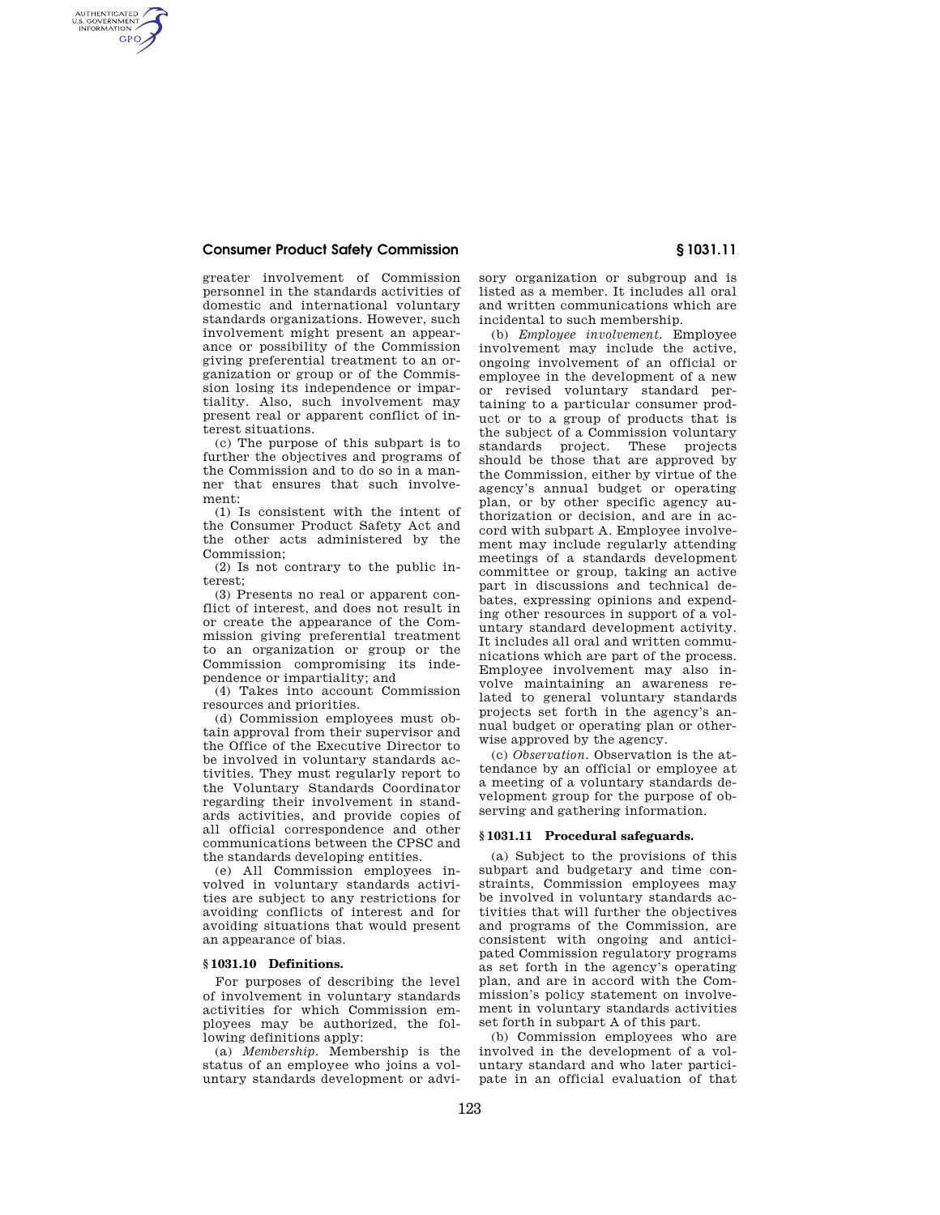# **Consumer Product Safety Commission § 1031.11**

AUTHENTICATED<br>U.S. GOVERNMENT<br>INFORMATION **GPO** 

> greater involvement of Commission personnel in the standards activities of domestic and international voluntary standards organizations. However, such involvement might present an appearance or possibility of the Commission giving preferential treatment to an organization or group or of the Commission losing its independence or impartiality. Also, such involvement may present real or apparent conflict of interest situations.

> (c) The purpose of this subpart is to further the objectives and programs of the Commission and to do so in a manner that ensures that such involvement:

> (1) Is consistent with the intent of the Consumer Product Safety Act and the other acts administered by the Commission;

> (2) Is not contrary to the public interest;

> (3) Presents no real or apparent conflict of interest, and does not result in or create the appearance of the Commission giving preferential treatment to an organization or group or the Commission compromising its independence or impartiality; and

> (4) Takes into account Commission resources and priorities.

> (d) Commission employees must obtain approval from their supervisor and the Office of the Executive Director to be involved in voluntary standards activities. They must regularly report to the Voluntary Standards Coordinator regarding their involvement in standards activities, and provide copies of all official correspondence and other communications between the CPSC and the standards developing entities.

> (e) All Commission employees involved in voluntary standards activities are subject to any restrictions for avoiding conflicts of interest and for avoiding situations that would present an appearance of bias.

## **§ 1031.10 Definitions.**

For purposes of describing the level of involvement in voluntary standards activities for which Commission employees may be authorized, the following definitions apply:

(a) *Membership.* Membership is the status of an employee who joins a voluntary standards development or advisory organization or subgroup and is listed as a member. It includes all oral and written communications which are incidental to such membership.

(b) *Employee involvement.* Employee involvement may include the active, ongoing involvement of an official or employee in the development of a new or revised voluntary standard pertaining to a particular consumer product or to a group of products that is the subject of a Commission voluntary standards project. These projects should be those that are approved by the Commission, either by virtue of the agency's annual budget or operating plan, or by other specific agency authorization or decision, and are in accord with subpart A. Employee involvement may include regularly attending meetings of a standards development committee or group, taking an active part in discussions and technical debates, expressing opinions and expending other resources in support of a voluntary standard development activity. It includes all oral and written communications which are part of the process. Employee involvement may also involve maintaining an awareness related to general voluntary standards projects set forth in the agency's annual budget or operating plan or otherwise approved by the agency.

(c) *Observation.* Observation is the attendance by an official or employee at a meeting of a voluntary standards development group for the purpose of observing and gathering information.

### **§ 1031.11 Procedural safeguards.**

(a) Subject to the provisions of this subpart and budgetary and time constraints, Commission employees may be involved in voluntary standards activities that will further the objectives and programs of the Commission, are consistent with ongoing and anticipated Commission regulatory programs as set forth in the agency's operating plan, and are in accord with the Commission's policy statement on involvement in voluntary standards activities set forth in subpart A of this part.

(b) Commission employees who are involved in the development of a voluntary standard and who later participate in an official evaluation of that